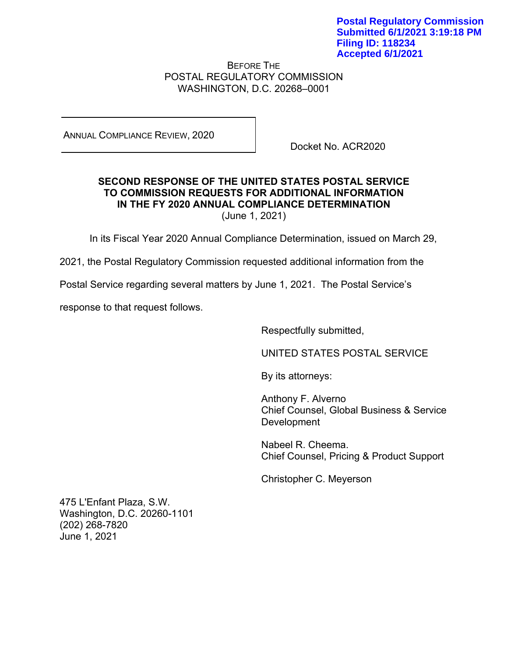BEFORE THE POSTAL REGULATORY COMMISSION WASHINGTON, D.C. 20268–0001

ANNUAL COMPLIANCE REVIEW, 2020

Docket No. ACR2020

## **SECOND RESPONSE OF THE UNITED STATES POSTAL SERVICE TO COMMISSION REQUESTS FOR ADDITIONAL INFORMATION IN THE FY 2020 ANNUAL COMPLIANCE DETERMINATION**  (June 1, 2021)

In its Fiscal Year 2020 Annual Compliance Determination, issued on March 29,

2021, the Postal Regulatory Commission requested additional information from the

Postal Service regarding several matters by June 1, 2021. The Postal Service's

response to that request follows.

Respectfully submitted,

UNITED STATES POSTAL SERVICE

By its attorneys:

Anthony F. Alverno Chief Counsel, Global Business & Service Development

 Nabeel R. Cheema. Chief Counsel, Pricing & Product Support

Christopher C. Meyerson

475 L'Enfant Plaza, S.W. Washington, D.C. 20260-1101 (202) 268-7820 June 1, 2021